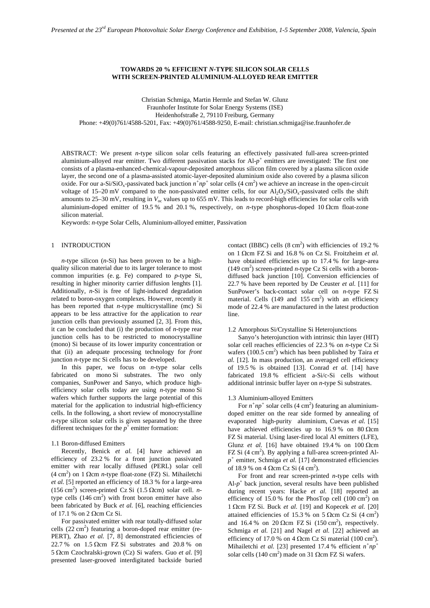# **TOWARDS 20 % EFFICIENT** *N***-TYPE SILICON SOLAR CELLS WITH SCREEN-PRINTED ALUMINIUM-ALLOYED REAR EMITTER**

Christian Schmiga, Martin Hermle and Stefan W. Glunz Fraunhofer Institute for Solar Energy Systems (ISE) Heidenhofstraße 2, 79110 Freiburg, Germany Phone: +49(0)761/4588-5201, Fax: +49(0)761/4588-9250, E-mail: christian.schmiga@ise.fraunhofer.de

ABSTRACT: We present *n*-type silicon solar cells featuring an effectively passivated full-area screen-printed aluminium-alloyed rear emitter. Two different passivation stacks for Al- $p^+$  emitters are investigated: The first one consists of a plasma-enhanced-chemical-vapour-deposited amorphous silicon film covered by a plasma silicon oxide layer, the second one of a plasma-assisted atomic-layer-deposited aluminium oxide also covered by a plasma silicon oxide. For our a-Si/SiO<sub>x</sub>-passivated back junction  $n^+np^+$  solar cells (4 cm<sup>2</sup>) we achieve an increase in the open-circuit voltage of 15–20 mV compared to the non-passivated emitter cells, for our  $Al_2O_3/SiO_3$ -passivated cells the shift amounts to 25–30 mV, resulting in  $V_{\text{oc}}$  values up to 655 mV. This leads to record-high efficiencies for solar cells with aluminium-doped emitter of 19.5 % and 20.1 %, respectively, on *n*-type phosphorus-doped 10 Ωcm float-zone silicon material.

Keywords: *n*-type Solar Cells, Aluminium-alloyed emitter, Passivation

### 1 INTRODUCTION

*n*-type silicon (*n*-Si) has been proven to be a highquality silicon material due to its larger tolerance to most common impurities (e. g. Fe) compared to *p*-type Si, resulting in higher minority carrier diffusion lenghts [1]. Additionally, *n*-Si is free of light-induced degradation related to boron-oxygen complexes. However, recently it has been reported that *n*-type multicrystalline (mc) Si appears to be less attractive for the application to *rear* junction cells than previously assumed [2, 3]. From this, it can be concluded that (i) the production of *n*-type rear junction cells has to be restricted to monocrystalline (mono) Si because of its lower impurity concentration or that (ii) an adequate processing technology for *front* junction *n*-type mc Si cells has to be developed.

In this paper, we focus on *n*-type solar cells fabricated on mono Si substrates. The two only companies, SunPower and Sanyo, which produce highefficiency solar cells today are using *n*-type mono Si wafers which further supports the large potential of this material for the application to industrial high-efficiency cells. In the following, a short review of monocrystalline *n*-type silicon solar cells is given separated by the three different techniques for the  $p^+$  emitter formation:

#### 1.1 Boron-diffused Emitters

Recently, Benick *et al.* [4] have achieved an efficiency of 23.2 % for a front junction passivated emitter with rear locally diffused (PERL) solar cell  $(4 cm<sup>2</sup>)$  on 1 Ωcm *n*-type float-zone (FZ) Si. Mihailetchi *et al.* [5] reported an efficiency of 18.3 % for a large-area (156 cm<sup>2</sup>) screen-printed Cz Si (1.5  $\Omega$ cm) solar cell. *n*type cells  $(146 \text{ cm}^2)$  with front boron emitter have also been fabricated by Buck *et al.* [6], reaching efficiencies of 17.1 % on 2 Ωcm Cz Si.

For passivated emitter with rear totally-diffused solar cells  $(22 \text{ cm}^2)$  featuring a boron-doped rear emitter (re-PERT), Zhao et al. [7, 8] demonstrated efficiencies of 22.7 % on  $1.5 \Omega$ cm FZ Si substrates and 20.8 % on 5 Ωcm Czochralski-grown (Cz) Si wafers. Guo *et al.* [9] presented laser-grooved interdigitated backside buried

contact (IBBC) cells  $(8 \text{ cm}^2)$  with efficiencies of 19.2 % on 1 Ωcm FZ Si and 16.8 % on Cz Si. Froitzheim *et al.* have obtained efficiencies up to 17.4 % for large-area  $(149 \text{ cm}^2)$  screen-printed *n*-type Cz Si cells with a borondiffused back junction [10]. Conversion efficiencies of 22.7 % have been reported by De Ceuster *et al.* [11] for SunPower's back-contact solar cell on *n*-type FZ Si material. Cells  $(149 \text{ and } 155 \text{ cm}^2)$  with an efficiency mode of 22.4 % are manufactured in the latest production line.

### 1.2 Amorphous Si/Crystalline Si Heterojunctions

Sanyo's heterojunction with intrinsic thin layer (HIT) solar cell reaches efficiencies of 22.3 % on *n*-type Cz Si wafers (100.5 cm<sup>2</sup>) which has been published by Taira et *al.* [12]. In mass production, an averaged cell efficiency of 19.5 % is obtained [13]. Conrad *et al.* [14] have fabricated 19.8 % efficient a-Si/c-Si cells without additional intrinsic buffer layer on *n*-type Si substrates.

#### 1.3 Aluminium-alloyed Emitters

For  $n^+np^+$  solar cells (4 cm<sup>2</sup>) featuring an aluminiumdoped emitter on the rear side formed by annealing of evaporated high-purity aluminium, Cuevas *et al.* [15] have achieved efficiencies up to  $16.9 %$  on  $80$   $\Omega$ cm FZ Si material. Using laser-fired local Al emitters (LFE), Glunz *et al.* [16] have obtained 19.4 % on  $100 \Omega$ cm FZ Si  $(4 \text{ cm}^2)$ . By applying a full-area screen-printed Al*p+* emitter, Schmiga *et al.* [17] demonstrated efficiencies of 18.9 % on 4 Ωcm Cz Si  $(4 \text{ cm}^2)$ .

For front and rear screen-printed *n*-type cells with  $Al-p^+$  back junction, several results have been published during recent years: Hacke *et al.* [18] reported an efficiency of  $15.0 %$  for the PhosTop cell  $(100 cm<sup>2</sup>)$  on 1 Ωcm FZ Si. Buck *et al.* [19] and Kopecek *et al.* [20] attained efficiencies of 15.3 % on 5  $\Omega$ cm Cz Si (4 cm<sup>2</sup>) and 16.4 % on 20  $\Omega$ cm FZ Si (150 cm<sup>2</sup>), respectively. Schmiga *et al.* [21] and Nagel *et al.* [22] achieved an efficiency of 17.0 % on 4  $\Omega$ cm Cz Si material (100 cm<sup>2</sup>). Mihailetchi *et al.* [23] presented 17.4 % efficient  $n^+np^+$ solar cells (140 cm<sup>2</sup>) made on 31  $\Omega$ cm FZ Si wafers.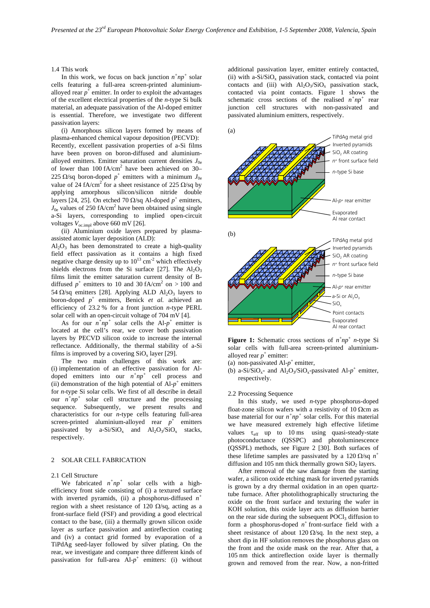### 1.4 This work

In this work, we focus on back junction  $n^+np^+$  solar cells featuring a full-area screen-printed aluminiumalloyed rear  $p^+$  emitter. In order to exploit the advantages of the excellent electrical properties of the *n*-type Si bulk material, an adequate passivation of the Al-doped emitter is essential. Therefore, we investigate two different passivation layers:

(i) Amorphous silicon layers formed by means of plasma-enhanced chemical vapour deposition (PECVD): Recently, excellent passivation properties of a-Si films have been proven on boron-diffused and aluminiumalloyed emitters. Emitter saturation current densities  $J_{0e}$ of lower than  $100 \text{ fA/cm}^2$  have been achieved on 30– 225  $\Omega$ /sq boron-doped  $p^+$  emitters with a minimum  $J_{0e}$ value of 24 fA/cm<sup>2</sup> for a sheet resistance of 225  $\Omega$ /sq by applying amorphous silicon/silicon nitride double layers [24, 25]. On etched 70  $\Omega$ /sq Al-doped  $p^+$  emitters,  $J_{0e}$  values of 250 fA/cm<sup>2</sup> have been obtained using single a-Si layers, corresponding to implied open-circuit voltages  $V_{oc.impl}$  above 660 mV [26].

 (ii) Aluminium oxide layers prepared by plasmaassisted atomic layer deposition (ALD):

 $Al<sub>2</sub>O<sub>3</sub>$  has been demonstrated to create a high-quality field effect passivation as it contains a high fixed negative charge density up to  $10^{13}$  cm<sup>-2</sup> which effectively shields electrons from the Si surface [27]. The  $Al_2O_3$ films limit the emitter saturation current density of Bdiffused  $p^+$  emitters to 10 and 30 fA/cm<sup>2</sup> on > 100 and 54  $\Omega$ /sq emitters [28]. Applying ALD Al<sub>2</sub>O<sub>3</sub> layers to boron-doped *p*<sup>+</sup> emitters, Benick *et al.* achieved an efficiency of 23.2 % for a front junction *n*-type PERL solar cell with an open-circuit voltage of 704 mV [4].

As for our  $n^{\dagger}np^+$  solar cells the Al- $p^+$  emitter is located at the cell's rear, we cover both passivation layers by PECVD silicon oxide to increase the internal reflectance. Additionally, the thermal stability of a-Si films is improved by a covering  $SiO_x$  layer [29].

The two main challenges of this work are: (i) implementation of an effective passivation for Aldoped emitters into our  $n^+np^+$  cell process and (ii) demonstration of the high potential of  $AI-p^+$  emitters for *n*-type Si solar cells. We first of all describe in detail our  $n^{\dagger}np^+$  solar cell structure and the processing sequence. Subsequently, we present results and characteristics for our *n*-type cells featuring full-area screen-printed aluminium-alloyed rear  $p^+$  emitters passivated by a-Si/SiO<sub>x</sub> and  $Al_2O_3/SiO_x$  stacks, respectively.

### 2 SOLAR CELL FABRICATION

#### 2.1 Cell Structure

We fabricated  $n^+np^+$  solar cells with a highefficiency front side consisting of (i) a textured surface with inverted pyramids, (ii) a phosphorus-diffused  $n^+$ region with a sheet resistance of 120  $\Omega$ /sq, acting as a front-surface field (FSF) and providing a good electrical contact to the base, (iii) a thermally grown silicon oxide layer as surface passivation and antireflection coating and (iv) a contact grid formed by evaporation of a TiPdAg seed-layer followed by silver plating. On the rear, we investigate and compare three different kinds of passivation for full-area  $AI-p^+$  emitters: (i) without

additional passivation layer, emitter entirely contacted, (ii) with  $a-Si/SiO_v$  passivation stack, contacted via point contacts and (iii) with  $Al_2O_3/SiO_s$  passivation stack, contacted via point contacts. Figure 1 shows the schematic cross sections of the realised  $n^+np^+$  rear junction cell structures with non-passivated and passivated aluminium emitters, respectively.



**Figure 1:** Schematic cross sections of  $n^+np^+$  *n*-type Si solar cells with full-area screen-printed aluminiumalloyed rear  $p^+$  emitter:

(a) non-passivated  $Al-p^+$  emitter,

(b) a-Si/SiO<sub>x</sub>- and Al<sub>2</sub>O<sub>3</sub>/SiO<sub>x</sub>-passivated Al- $p^+$  emitter, respectively.

### 2.2 Processing Sequence

In this study, we used *n*-type phosphorus-doped float-zone silicon wafers with a resistivity of 10  $\Omega$ cm as base material for our  $n^+np^+$  solar cells. For this material we have measured extremely high effective lifetime values  $\tau_{\text{eff}}$  up to 10 ms using quasi-steady-state photoconductance (QSSPC) and photoluminescence (QSSPL) methods, see Figure 2 [30]. Both surfaces of these lifetime samples are passivated by a 120  $\Omega$ /sq  $n^+$ diffusion and 105 nm thick thermally grown  $SiO<sub>2</sub>$  layers.

 After removal of the saw damage from the starting wafer, a silicon oxide etching mask for inverted pyramids is grown by a dry thermal oxidation in an open quartztube furnace. After photolithographically structuring the oxide on the front surface and texturing the wafer in KOH solution, this oxide layer acts as diffusion barrier on the rear side during the subsequent  $POCl<sub>3</sub>$  diffusion to form a phosphorus-doped  $n^+$  front-surface field with a sheet resistance of about 120  $\Omega$ /sq. In the next step, a short dip in HF solution removes the phosphorus glass on the front and the oxide mask on the rear. After that, a 105 nm thick antireflection oxide layer is thermally grown and removed from the rear. Now, a non-fritted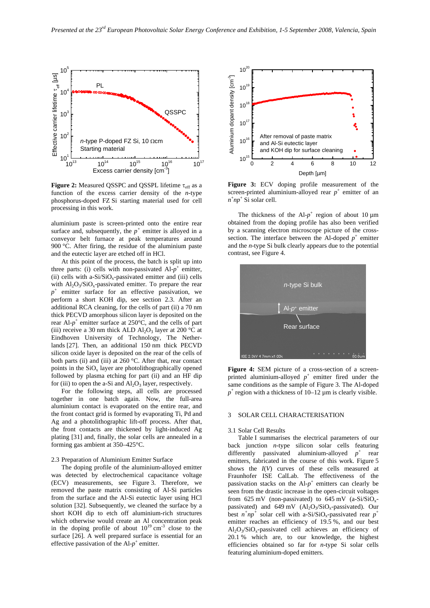

Figure 2: Measured QSSPC and QSSPL lifetime τ<sub>eff</sub> as a function of the excess carrier density of the *n*-type phosphorus-doped FZ Si starting material used for cell processing in this work.

aluminium paste is screen-printed onto the entire rear surface and, subsequently, the  $p^+$  emitter is alloyed in a conveyor belt furnace at peak temperatures around 900 °C. After firing, the residue of the aluminium paste and the eutectic layer are etched off in HCl.

 At this point of the process, the batch is split up into three parts: (i) cells with non-passivated  $AI-p^+$  emitter, (ii) cells with a- $Si/SiO<sub>x</sub>$ -passivated emitter and (iii) cells with  $Al_2O_3/SiO_x$ -passivated emitter. To prepare the rear  $p^+$  emitter surface for an effective passivation, we perform a short KOH dip, see section 2.3. After an additional RCA cleaning, for the cells of part (ii) a 70 nm thick PECVD amorphous silicon layer is deposited on the rear Al-p<sup>+</sup> emitter surface at 250°C, and the cells of part (iii) receive a 30 nm thick ALD  $Al_2O_3$  layer at 200 °C at Eindhoven University of Technology, The Netherlands [27]. Then, an additional 150 nm thick PECVD silicon oxide layer is deposited on the rear of the cells of both parts (ii) and (iii) at 260 °C. After that, rear contact points in the  $SiO<sub>x</sub>$  layer are photolithographically opened followed by plasma etching for part (ii) and an HF dip for (iii) to open the a-Si and  $Al_2O_3$  layer, respectively.

 For the following steps, all cells are processed together in one batch again. Now, the full-area aluminium contact is evaporated on the entire rear, and the front contact grid is formed by evaporating Ti, Pd and Ag and a photolithographic lift-off process. After that, the front contacts are thickened by light-induced Ag plating [31] and, finally, the solar cells are annealed in a forming gas ambient at 350–425°C.

#### 2.3 Preparation of Aluminium Emitter Surface

 The doping profile of the aluminium-alloyed emitter was detected by electrochemical capacitance voltage (ECV) measurements, see Figure 3. Therefore, we removed the paste matrix consisting of Al-Si particles from the surface and the Al-Si eutectic layer using HCl solution [32]. Subsequently, we cleaned the surface by a short KOH dip to etch off aluminium-rich structures which otherwise would create an Al concentration peak in the doping profile of about  $10^{19}$  cm<sup>-3</sup> close to the surface [26]. A well prepared surface is essential for an effective passivation of the  $AI-p^+$  emitter.



**Figure 3:** ECV doping profile measurement of the screen-printed aluminium-alloyed rear  $p^+$  emitter of an  $n^+np^+$  Si solar cell.

The thickness of the Al- $p^+$  region of about 10  $\mu$ m obtained from the doping profile has also been verified by a scanning electron microscope picture of the crosssection. The interface between the Al-doped  $p^+$  emitter and the *n*-type Si bulk clearly appears due to the potential contrast, see Figure 4.



**Figure 4:** SEM picture of a cross-section of a screenprinted aluminium-alloyed  $p^+$  emitter fired under the same conditions as the sample of Figure 3. The Al-doped  $p^+$  region with a thickness of 10–12  $\mu$ m is clearly visible.

# 3 SOLAR CELL CHARACTERISATION

### 3.1 Solar Cell Results

Table I summarises the electrical parameters of our back junction *n*-type silicon solar cells featuring differently passivated aluminium-alloyed  $p^+$  rear emitters, fabricated in the course of this work. Figure 5 shows the *I*(*V*) curves of these cells measured at Fraunhofer ISE CalLab. The effectiveness of the passivation stacks on the  $AI-p^+$  emitters can clearly be seen from the drastic increase in the open-circuit voltages from 625 mV (non-passivated) to  $645$  mV (a-Si/SiO<sub>x</sub>passivated) and 649 mV  $(Al_2O_3/SiO_x$ -passivated). Our best  $n^+np^+$  solar cell with a-Si/SiO<sub>x</sub>-passivated rear  $p^+$ emitter reaches an efficiency of 19.5 %, and our best  $Al_2O_3/SiO_x$ -passivated cell achieves an efficiency of 20.1 % which are, to our knowledge, the highest efficiencies obtained so far for *n*-type Si solar cells featuring aluminium-doped emitters.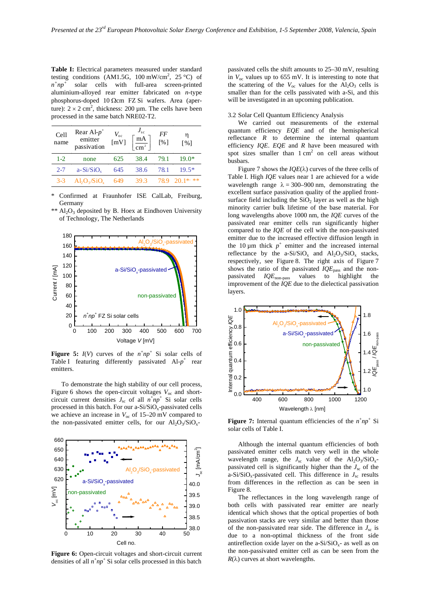**Table I:** Electrical parameters measured under standard testing conditions (AM1.5G, 100 mW/cm<sup>2</sup>, 25 °C) of *n+np+* solar cells with full-area screen-printed aluminium-alloyed rear emitter fabricated on *n*-type phosphorus-doped 10 Ωcm FZ Si wafers. Area (aperture):  $2 \times 2$  cm<sup>2</sup>, thickness: 200 µm. The cells have been processed in the same batch NRE02-T2.

| Cell<br>name | Rear Al- $p^*$<br>emitter<br>passivation | $V_{oc}$<br>[mV] | $J_{\rm sc}$<br>$\frac{mA}{cm^2}$ | FF<br>[%] | η<br>$\lceil \sqrt{9} \rceil$ |
|--------------|------------------------------------------|------------------|-----------------------------------|-----------|-------------------------------|
| $1-2$        | none                                     | 625              | 38.4                              | 79.1      | $19.0*$                       |
| $2 - 7$      | $a-Si/SiO_x$                             | 645              | 38.6                              | 78.1      | $19.5*$                       |
| $3-3$        | $Al_2O_3/SiO_5$                          | 649              | 39.3                              | 78.9      | $20.1**$                      |

\* Confirmed at Fraunhofer ISE CalLab, Freiburg, Germany

 $*$  Al<sub>2</sub>O<sub>3</sub> deposited by B. Hoex at Eindhoven University of Technology, The Netherlands



**Figure 5:**  $I(V)$  curves of the  $n^+np^+$  Si solar cells of Table I featuring differently passivated  $AI-p^+$  rear emitters.

To demonstrate the high stability of our cell process, Figure 6 shows the open-circuit voltages  $V_{\text{oc}}$  and shortcircuit current densities  $J_{\rm sc}$  of all  $n^{\dagger}np^{\dagger}$  Si solar cells processed in this batch. For our a-Si/SiO<sub>x</sub>-passivated cells we achieve an increase in  $V_{\text{oc}}$  of 15–20 mV compared to the non-passivated emitter cells, for our  $Al_2O_3/SiO_x$ -



**Figure 6:** Open-circuit voltages and short-circuit current densities of all  $n^+np^+$  Si solar cells processed in this batch

passivated cells the shift amounts to 25–30 mV, resulting in  $V_{\infty}$  values up to 655 mV. It is interesting to note that the scattering of the  $V_{\text{oc}}$  values for the Al<sub>2</sub>O<sub>3</sub> cells is smaller than for the cells passivated with a-Si, and this will be investigated in an upcoming publication.

# 3.2 Solar Cell Quantum Efficiency Analysis

 We carried out measurements of the external quantum efficiency *EQE* and of the hemispherical reflectance *R* to determine the internal quantum efficiency *IQE*. *EQE* and *R* have been measured with spot sizes smaller than  $1 \text{ cm}^2$  on cell areas without busbars.

Figure 7 shows the  $IQE(\lambda)$  curves of the three cells of Table I. High *IQE* values near 1 are achieved for a wide wavelength range  $\lambda = 300-900$  nm, demonstrating the excellent surface passivation quality of the applied frontsurface field including the  $SiO<sub>2</sub>$  layer as well as the high minority carrier bulk lifetime of the base material. For long wavelengths above 1000 nm, the *IQE* curves of the passivated rear emitter cells run significantly higher compared to the *IQE* of the cell with the non-passivated emitter due to the increased effective diffusion length in the 10  $\mu$ m thick  $p^+$  emitter and the increased internal reflectance by the  $a-Si/SiO_x$  and  $Al_2O_3/SiO_x$  stacks, respectively, see Figure 8. The right axis of Figure 7 shows the ratio of the passivated  $IQE_{\text{pass}}$  and the nonpassivated *IQE*non-pass values to highlight the improvement of the *IQE* due to the dielectical passivation layers.



**Figure 7:** Internal quantum efficiencies of the  $n^+np^+$  Si solar cells of Table I.

Although the internal quantum efficiencies of both passivated emitter cells match very well in the whole wavelength range, the  $J_{\rm sc}$  value of the  $Al_2O_3/SiO_x$ passivated cell is significantly higher than the  $J_{\rm sc}$  of the a-Si/SiO<sub>x</sub>-passivated cell. This difference in  $J_{\rm sc}$  results from differences in the reflection as can be seen in Figure 8.

The reflectances in the long wavelength range of both cells with passivated rear emitter are nearly identical which shows that the optical properties of both passivation stacks are very similar and better than those of the non-passivated rear side. The difference in  $J_{\rm sc}$  is due to a non-optimal thickness of the front side antireflection oxide layer on the  $a-Si/SiO<sub>x</sub>$ - as well as on the non-passivated emitter cell as can be seen from the  $R(\lambda)$  curves at short wavelengths.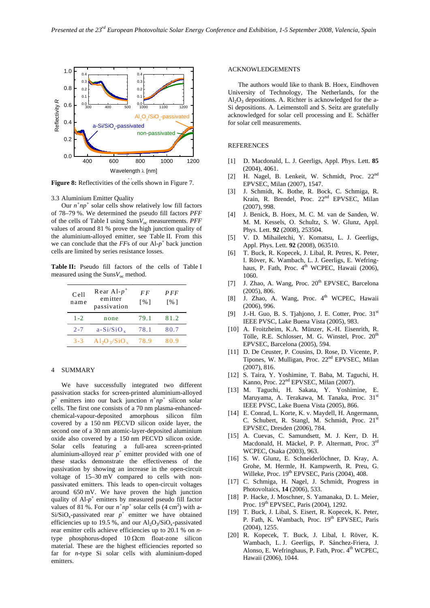

Figure 8: Reflectivities of the cells shown in Figure 7.

3.3 Aluminium Emitter Quality

Our  $n^+np^+$  solar cells show relatively low fill factors of 78–79 %. We determined the pseudo fill factors *PFF* of the cells of Table I using Suns*V*oc measurements. *PFF* values of around 81 % prove the high junction quality of the aluminium-alloyed emitter, see Table II. From this we can conclude that the  $FFs$  of our  $Al-p^+$  back junction cells are limited by series resistance losses.

**Table II:** Pseudo fill factors of the cells of Table I measured using the  $\text{Suns}V_{\text{oc}}$  method.

| Cell<br>name | Rear Al- $p^+$<br>emitter<br>passivation | F F<br>$\lceil 96 \rceil$ | PFF<br>$\lceil 96 \rceil$ |
|--------------|------------------------------------------|---------------------------|---------------------------|
| $1 - 2$      | none                                     | 79.1                      | 81.2                      |
| $2 - 7$      | $a-Si/SiO_x$                             | 78.1                      | 80.7                      |
| $3 - 3$      | $Al_2O_3/SiO_x$                          | 78.9                      | 80.9                      |

### 4 SUMMARY

We have successfully integrated two different passivation stacks for screen-printed aluminium-alloyed  $p^+$  emitters into our back junction  $n^+np^+$  silicon solar cells. The first one consists of a 70 nm plasma-enhancedchemical-vapour-deposited amorphous silicon film covered by a 150 nm PECVD silicon oxide layer, the second one of a 30 nm atomic-layer-deposited aluminium oxide also covered by a 150 nm PECVD silicon oxide. Solar cells featuring a full-area screen-printed aluminium-alloyed rear  $p^+$  emitter provided with one of these stacks demonstrate the effectiveness of the passivation by showing an increase in the open-circuit voltage of 15–30 mV compared to cells with nonpassivated emitters. This leads to open-circuit voltages around 650 mV. We have proven the high junction quality of  $Al-p^+$  emitters by measured pseudo fill factor values of 81 %. For our  $n^+np^+$  solar cells (4 cm<sup>2</sup>) with a- $Si/SiO<sub>x</sub>$ -passivated rear  $p^+$  emitter we have obtained efficiencies up to 19.5 %, and our  $Al_2O_3/SiO_x$ -passivated rear emitter cells achieve efficiencies up to 20.1 % on *n*type phosphorus-doped 10 Ωcm float-zone silicon material. These are the highest efficiencies reported so far for *n*-type Si solar cells with aluminium-doped emitters.

### ACKNOWLEDGEMENTS

The authors would like to thank B. Hoex, Eindhoven University of Technology, The Netherlands, for the  $Al_2O_3$  depositions. A. Richter is acknowledged for the a-Si depositions. A. Leimenstoll and S. Seitz are gratefully acknowledged for solar cell processing and E. Schäffer for solar cell measurements.

# **REFERENCES**

- [1] D. Macdonald, L. J. Geerligs, Appl. Phys. Lett. **85** (2004), 4061.
- [2] H. Nagel, B. Lenkeit, W. Schmidt, Proc. 22<sup>nd</sup> EPVSEC, Milan (2007), 1547.
- [3] J. Schmidt, K. Bothe, R. Bock, C. Schmiga, R. Krain, R. Brendel, Proc. 22<sup>nd</sup> EPVSEC, Milan (2007), 998.
- [4] J. Benick, B. Hoex, M. C. M. van de Sanden, W. M. M. Kessels, O. Schultz, S. W. Glunz, Appl. Phys. Lett. **92** (2008), 253504.
- [5] V. D. Mihailetchi, Y. Komatsu, L. J. Geerligs, Appl. Phys. Lett. **92** (2008), 063510.
- [6] T. Buck, R. Kopecek, J. Libal, R. Petres, K. Peter, I. Röver, K. Wambach, L. J. Geerligs, E. Wefringhaus, P. Fath, Proc. 4<sup>th</sup> WCPEC, Hawaii (2006), 1060.
- [7] J. Zhao, A. Wang, Proc.  $20<sup>th</sup>$  EPVSEC, Barcelona (2005), 806.
- [8]  $\dot{J}$ . Zhao, A. Wang, Proc. 4<sup>th</sup> WCPEC, Hawaii (2006), 996.
- [9] J.-H. Guo, B. S. Tjahjono, J. E. Cotter, Proc. 31<sup>st</sup> IEEE PVSC, Lake Buena Vista (2005), 983.
- [10] A. Froitzheim, K.A. Münzer, K.-H. Eisenrith, R. Tölle, R.E. Schlosser, M. G. Winstel, Proc. 20<sup>th</sup> EPVSEC, Barcelona (2005), 594.
- [11] D. De Ceuster, P. Cousins, D. Rose, D. Vicente, P. Tipones, W. Mulligan, Proc. 22nd EPVSEC, Milan (2007), 816.
- [12] S. Taira, Y. Yoshimine, T. Baba, M. Taguchi, H. Kanno, Proc. 22<sup>nd</sup> EPVSEC, Milan (2007).
- [13] M. Taguchi, H. Sakata, Y. Yoshimine, E. Maruyama, A. Terakawa, M. Tanaka, Proc. 31st IEEE PVSC, Lake Buena Vista (2005), 866.
- [14] E. Conrad, L. Korte, K. v. Maydell, H. Angermann, C. Schubert, R. Stangl, M. Schmidt, Proc. 21<sup>st</sup> EPVSEC, Dresden (2006), 784.
- [15] A. Cuevas, C. Samundsett, M. J. Kerr, D. H. Macdonald, H. Mäckel, P. P. Altermatt, Proc. 3rd WCPEC, Osaka (2003), 963.
- [16] S. W. Glunz, E. Schneiderlöchner, D. Kray, A. Grohe, M. Hermle, H. Kampwerth, R. Preu, G. Willeke, Proc.  $19<sup>th</sup>$  EPVSEC, Paris (2004), 408.
- [17] C. Schmiga, H. Nagel, J. Schmidt, Progress in Photovoltaics, **14** (2006), 533.
- [18] P. Hacke, J. Moschner, S. Yamanaka, D. L. Meier, Proc. 19<sup>th</sup> EPVSEC, Paris (2004), 1292.
- [19] T. Buck, J. Libal, S. Eisert, R. Kopecek, K. Peter, P. Fath, K. Wambach, Proc. 19th EPVSEC, Paris  $(2004)$ , 1255.
- [20] R. Kopecek, T. Buck, J. Libal, I. Röver, K. Wambach, L. J. Geerligs, P. Sánchez-Friera, J. Alonso, E. Wefringhaus, P. Fath, Proc. 4<sup>th</sup> WCPEC, Hawaii (2006), 1044.